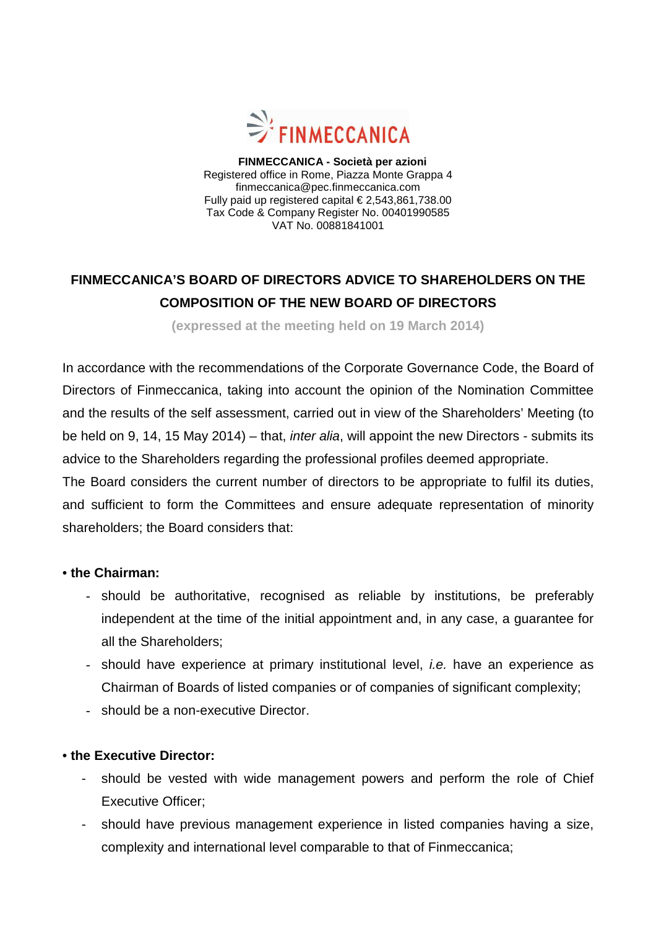

 **FINMECCANICA - Società per azioni**  Registered office in Rome, Piazza Monte Grappa 4 finmeccanica@pec.finmeccanica.com Fully paid up registered capital € 2,543,861,738.00 Tax Code & Company Register No. 00401990585 VAT No. 00881841001

## **FINMECCANICA'S BOARD OF DIRECTORS ADVICE TO SHAREHOLDERS ON THE COMPOSITION OF THE NEW BOARD OF DIRECTORS**

**(expressed at the meeting held on 19 March 2014)**

In accordance with the recommendations of the Corporate Governance Code, the Board of Directors of Finmeccanica, taking into account the opinion of the Nomination Committee and the results of the self assessment, carried out in view of the Shareholders' Meeting (to be held on 9, 14, 15 May 2014) – that, inter alia, will appoint the new Directors - submits its advice to the Shareholders regarding the professional profiles deemed appropriate.

The Board considers the current number of directors to be appropriate to fulfil its duties, and sufficient to form the Committees and ensure adequate representation of minority shareholders; the Board considers that:

## • **the Chairman:**

- should be authoritative, recognised as reliable by institutions, be preferably independent at the time of the initial appointment and, in any case, a guarantee for all the Shareholders;
- should have experience at primary institutional level, *i.e.* have an experience as Chairman of Boards of listed companies or of companies of significant complexity;
- should be a non-executive Director.

## • **the Executive Director:**

- should be vested with wide management powers and perform the role of Chief Executive Officer;
- should have previous management experience in listed companies having a size, complexity and international level comparable to that of Finmeccanica;